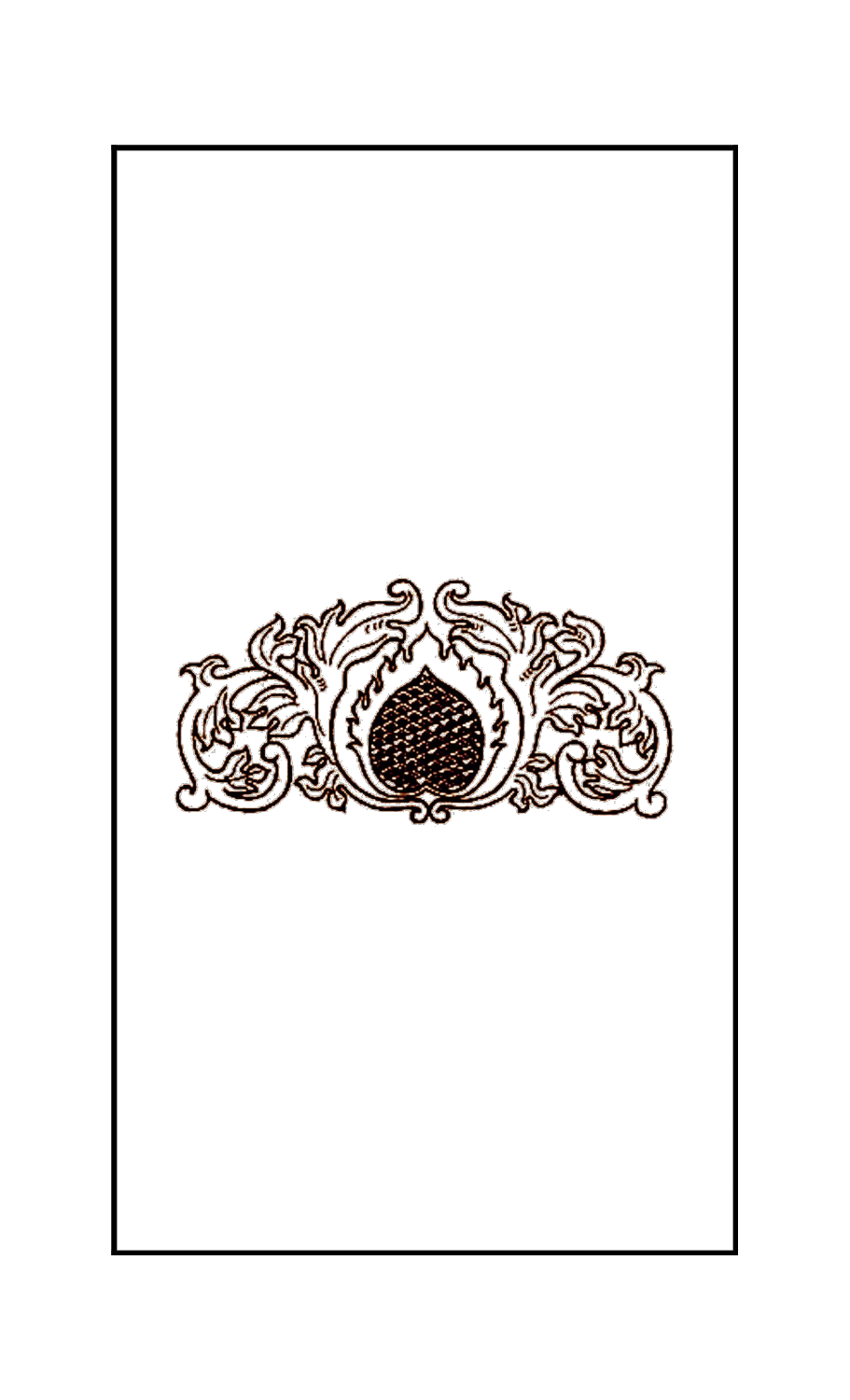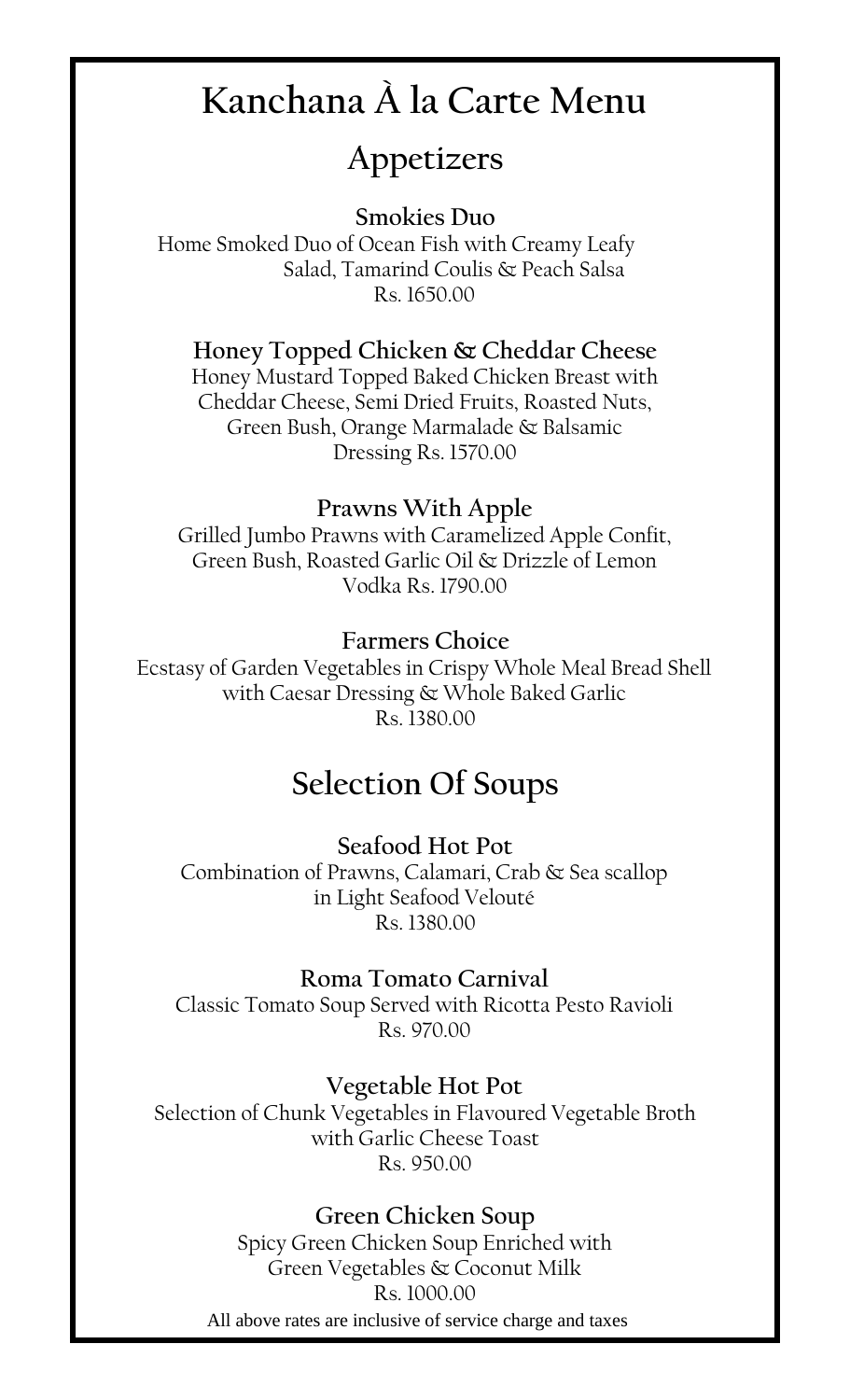# **Kanchana À la Carte Menu**

## **Appetizers**

#### **Smokies Duo**

Home Smoked Duo of Ocean Fish with Creamy Leafy Salad, Tamarind Coulis & Peach Salsa Rs. 1650.00

#### **Honey Topped Chicken & Cheddar Cheese**

Honey Mustard Topped Baked Chicken Breast with Cheddar Cheese, Semi Dried Fruits, Roasted Nuts, Green Bush, Orange Marmalade & Balsamic Dressing Rs. 1570.00

#### **Prawns With Apple**

Grilled Jumbo Prawns with Caramelized Apple Confit, Green Bush, Roasted Garlic Oil & Drizzle of Lemon Vodka Rs. 1790.00

## **Farmers Choice**

Ecstasy of Garden Vegetables in Crispy Whole Meal Bread Shell with Caesar Dressing & Whole Baked Garlic Rs. 1380.00

## **Selection Of Soups**

#### **Seafood Hot Pot**

Combination of Prawns, Calamari, Crab & Sea scallop in Light Seafood Velouté Rs. 1380.00

#### **Roma Tomato Carnival**

Classic Tomato Soup Served with Ricotta Pesto Ravioli Rs. 970.00

#### **Vegetable Hot Pot**

Selection of Chunk Vegetables in Flavoured Vegetable Broth with Garlic Cheese Toast Rs. 950.00

#### **Green Chicken Soup**

Spicy Green Chicken Soup Enriched with Green Vegetables & Coconut Milk Rs. 1000.00 All above rates are inclusive of service charge and taxes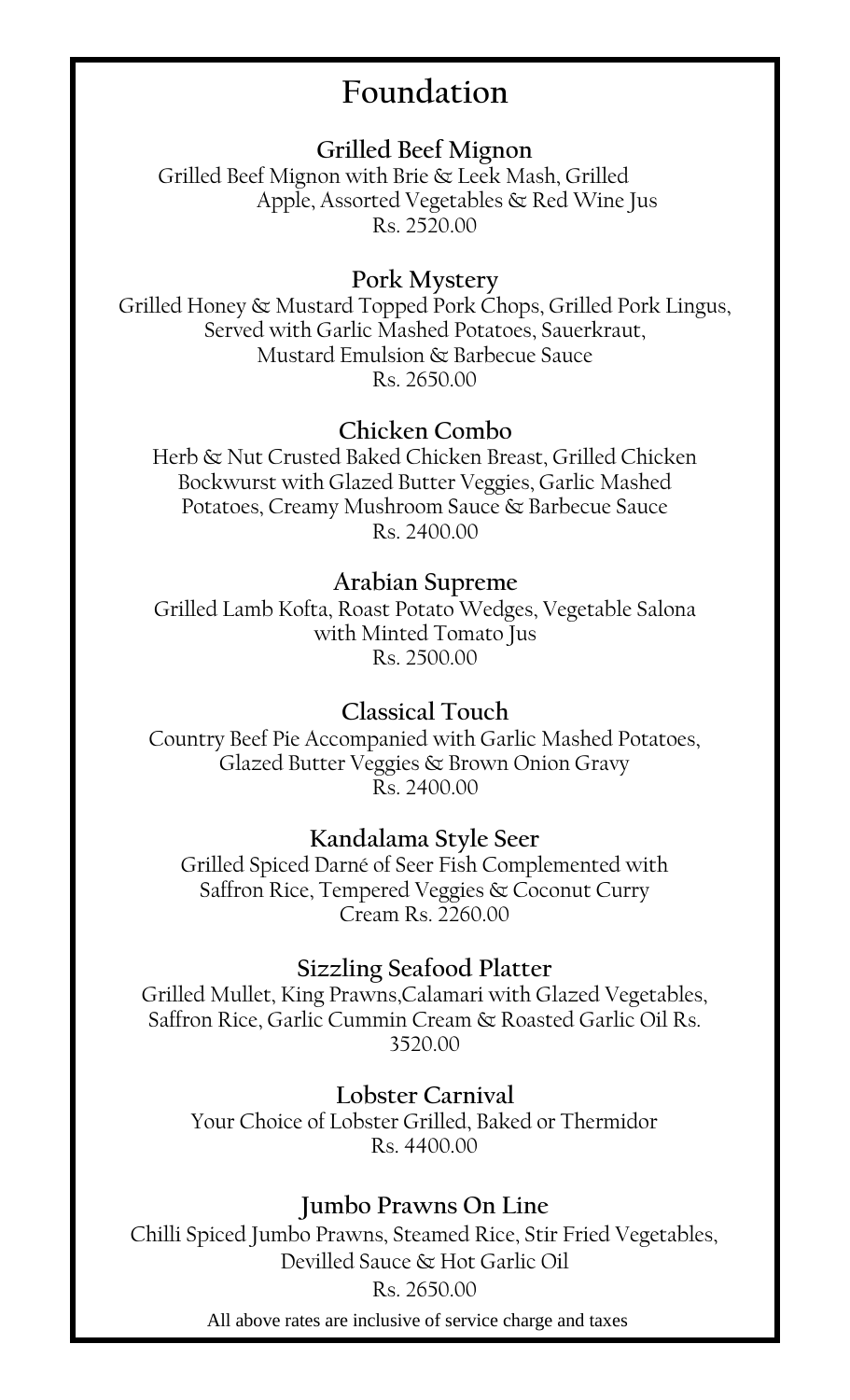## **Foundation**

**Grilled Beef Mignon**

Grilled Beef Mignon with Brie & Leek Mash, Grilled Apple, Assorted Vegetables & Red Wine Jus Rs. 2520.00

### **Pork Mystery**

Grilled Honey & Mustard Topped Pork Chops, Grilled Pork Lingus, Served with Garlic Mashed Potatoes, Sauerkraut, Mustard Emulsion & Barbecue Sauce Rs. 2650.00

## **Chicken Combo**

Herb & Nut Crusted Baked Chicken Breast, Grilled Chicken Bockwurst with Glazed Butter Veggies, Garlic Mashed Potatoes, Creamy Mushroom Sauce & Barbecue Sauce Rs. 2400.00

#### **Arabian Supreme**

Grilled Lamb Kofta, Roast Potato Wedges, Vegetable Salona with Minted Tomato Jus Rs. 2500.00

#### **Classical Touch**

Country Beef Pie Accompanied with Garlic Mashed Potatoes, Glazed Butter Veggies & Brown Onion Gravy Rs. 2400.00

## **Kandalama Style Seer**

Grilled Spiced Darné of Seer Fish Complemented with Saffron Rice, Tempered Veggies & Coconut Curry Cream Rs. 2260.00

### **Sizzling Seafood Platter**

Grilled Mullet, King Prawns,Calamari with Glazed Vegetables, Saffron Rice, Garlic Cummin Cream & Roasted Garlic Oil Rs. 3520.00

**Lobster Carnival** Your Choice of Lobster Grilled, Baked or Thermidor Rs. 4400.00

#### **Jumbo Prawns On Line**

Chilli Spiced Jumbo Prawns, Steamed Rice, Stir Fried Vegetables, Devilled Sauce & Hot Garlic Oil Rs. 2650.00

All above rates are inclusive of service charge and taxes